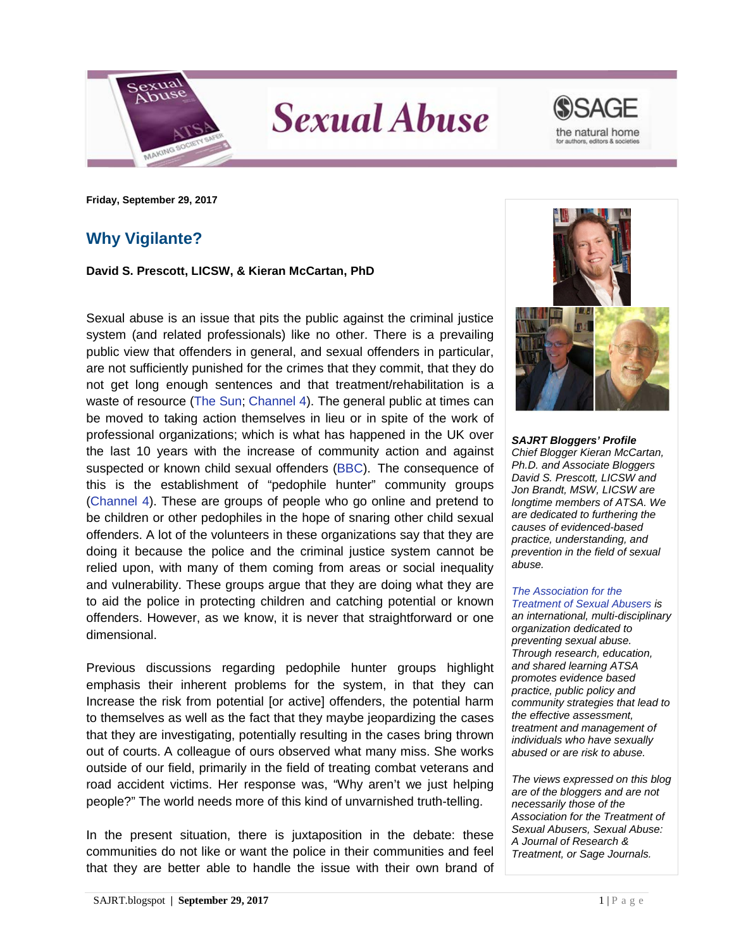





**Friday, September 29, 2017**

## **Why Vigilante?**

**David S. Prescott, LICSW, & Kieran McCartan, PhD**

Sexual abuse is an issue that pits the public against the criminal justice system (and related professionals) like no other. There is a prevailing public view that offenders in general, and sexual offenders in particular, are not sufficiently punished for the crimes that they commit, that they do not get long enough sentences and that treatment/rehabilitation is a waste of resource [\(The Sun;](https://www.thesun.co.uk/news/4506205/paedophile-hunters-stinson-hunter-dark-justice-guardians-of-the-north/) [Channel 4\)](http://www.channel4.com/programmes/the-paedophile-hunter). The general public at times can be moved to taking action themselves in lieu or in spite of the work of professional organizations; which is what has happened in the UK over the last 10 years with the increase of community action and against suspected or known child sexual offenders [\(BBC\)](http://www.bbc.co.uk/programmes/p02swnxf). The consequence of this is the establishment of "pedophile hunter" community groups [\(Channel 4\)](http://www.channel4.com/programmes/the-paedophile-hunter). These are groups of people who go online and pretend to be children or other pedophiles in the hope of snaring other child sexual offenders. A lot of the volunteers in these organizations say that they are doing it because the police and the criminal justice system cannot be relied upon, with many of them coming from areas or social inequality and vulnerability. These groups argue that they are doing what they are to aid the police in protecting children and catching potential or known offenders. However, as we know, it is never that straightforward or one dimensional.

Previous discussions regarding pedophile hunter groups highlight emphasis their inherent problems for the system, in that they can Increase the risk from potential [or active] offenders, the potential harm to themselves as well as the fact that they maybe jeopardizing the cases that they are investigating, potentially resulting in the cases bring thrown out of courts. A colleague of ours observed what many miss. She works outside of our field, primarily in the field of treating combat veterans and road accident victims. Her response was, "Why aren't we just helping people?" The world needs more of this kind of unvarnished truth-telling.

In the present situation, there is juxtaposition in the debate: these communities do not like or want the police in their communities and feel that they are better able to handle the issue with their own brand of



*SAJRT Bloggers' Profile Chief Blogger Kieran McCartan, Ph.D. and Associate Bloggers David S. Prescott, LICSW and Jon Brandt, MSW, LICSW are longtime members of ATSA. We are dedicated to furthering the causes of evidenced-based practice, understanding, and prevention in the field of sexual abuse.*

## *[The Association for the](http://atsa.com/)  [Treatment of Sexual Abusers](http://atsa.com/) is*

*an international, multi-disciplinary organization dedicated to preventing sexual abuse. Through research, education, and shared learning ATSA promotes evidence based practice, public policy and community strategies that lead to the effective assessment, treatment and management of individuals who have sexually abused or are risk to abuse.* 

*The views expressed on this blog are of the bloggers and are not necessarily those of the Association for the Treatment of Sexual Abusers, Sexual Abuse: A Journal of Research & Treatment, or Sage Journals.*